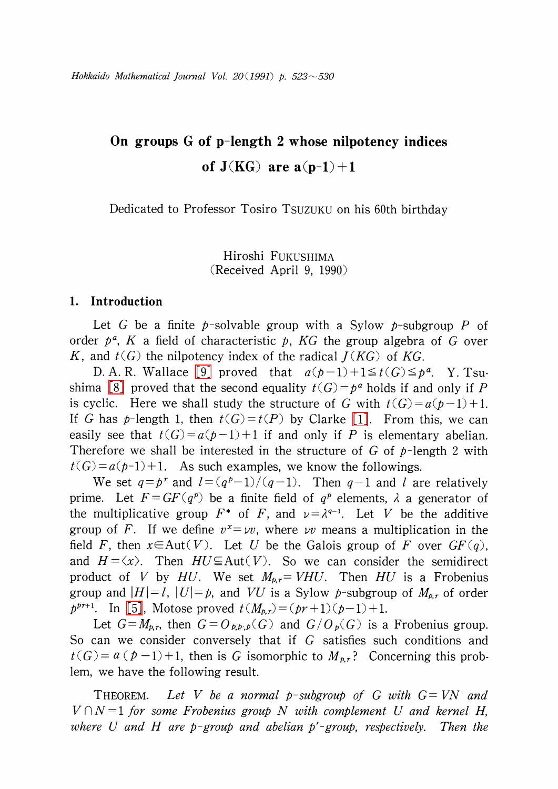# On groups G of p-length 2 whose nilpotency indices of  $J(KG)$  are  $a(p-1)+1$

Dedicated to Professor Tosiro TSUZUKU on his 60th birthday

Hiroshi FUKUSHIMA (Received April 9, 1990)

## 1. Introduction

Let G be a finite p-solvable group with a Sylow p-subgroup P of order  $p^{a}$ , K a field of characteristic p, KG the group algebra of G over K, and  $t(G)$  the nilpotency index of the radical  $J(KG)$  of KG.

D. A. R. Wallace [\[9\]](#page-7-0) proved that  $a(b-1)+1\leq t(G)\leq p^{a}$ . Y. Tsu-shima [\[8\]](#page-7-1) proved that the second equality  $t(G)=p^{a}$  holds if and only if P is cyclic. Here we shall study the structure of G with  $t(G)=a(p-1)+1$ . If G has p-length 1, then  $t(G)=t(P)$  by Clarke [\[1\]](#page-7-2). From this, we can easily see that  $t(G)=a(p-1)+1$  if and only if P is elementary abelian. Therefore we shall be interested in the structure of G of  $p$ -length 2 with  $t(G)=a(p-1)+1$ . As such examples, we know the followings.

We set  $q=p^{r}$  and  $l=(q^{p}-1)/(q-1)$ . Then  $q-1$  and  $l$  are relatively prime. Let  $F=GF(q^{p})$  be a finite field of  $q^{p}$  elements,  $\lambda$  a generator of the multiplicative group  $F^{*}$  of F, and  $\nu=\lambda^{q-1}$ . Let V be the additive group of F. If we define  $v^{x}=\nu v$ , where  $\nu v$  means a multiplication in the field F, then  $x \in Aut(V)$ . Let U be the Galois group of F over  $GF(q)$ , and  $H = \langle x \rangle$ . Then  $HU \subseteq Aut(V)$ . So we can consider the semidirect product of V by HU. We set  $M_{p,r}=VHU$ . Then HU is a Frobenius group and  $|H|=l$ ,  $|U|=p$ , and VU is a Sylow p-subgroup of  $M_{p,r}$  of order  $p^{pr+1}$ . In [\[5\]](#page-7-3), Motose proved  $t(M_{p,r})=(pr+1)(p-1)+1$ .

Let  $G=M_{p,r}$ , then  $G=O_{p,p,p}(G)$  and  $G/O_{p}(G)$  is a Frobenius group. So can we consider conversely that if G satisfies such conditions and  $t(G)=a (p-1)+1$ , then is G isomorphic to  $M_{p,r}$ ? Concerning this problem, we have the following result.

THEOREM. Let V be a normal p-subgroup of G with  $G=VN$  and  $V\cap N=1$  for some Frobenius group N with complement U and kernel H, where U and H are p-group and abelian  $p'$ -group, respectively. Then the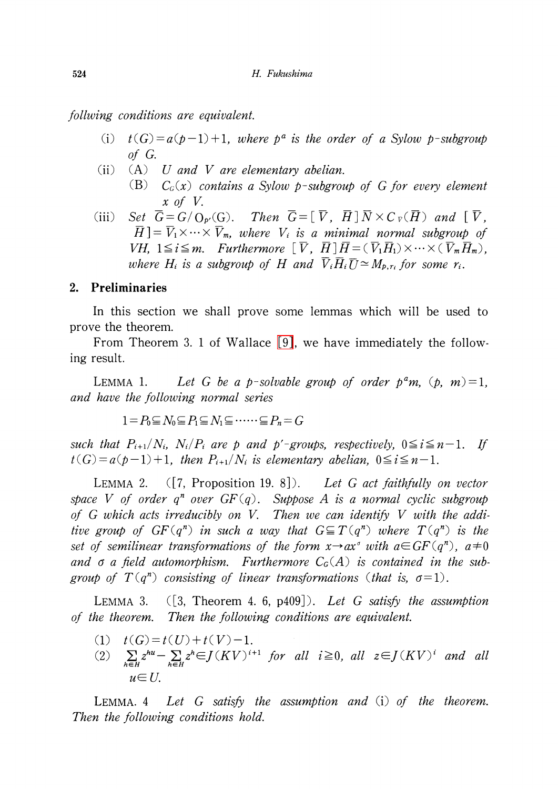follwing conditions are equivalent.

- (i)  $t(G) = a(p-1)+1$ , where  $p^{a}$  is the order of a Sylow p-subgroup of G.
- (ii)  $(A)$  U and V are elementary abelian. (B)  $C_{G}(x)$  contains a Sylow p-subgroup of G for every element x of V.
- (iii) Set  $\overline{G} = G/O_{p\cdot}(G)$ . Then  $\overline{G} = [\overline{V}, \overline{H}] \overline{N} \times C \overline{v}(\overline{H})$  and  $[\overline{V}, \overline{W}]$  $\operatorname{H}=\operatorname{V}_{1}\times\cdots\times\operatorname{V}_{m}$ , where  $\operatorname{V}_{i}$  is a minimal normal subgroup of  $V$ H,  $1\leq i\leq m$ . Furthermore  $\left[\begin{array}{ll} V, \ H\end{array}\right]H=(\ V_{1}H_{1})\times\cdots\times(\overline{V}_{m}\overline{H}_{m})$ , where  $H_{i}$  is a subgroup of  $H$  and  $\overline{V}_{i}\overline{H}_{i}\overline{U} \simeq M_{p,r_{i}}$  for some  $r_{i}$ .

### 2. Preliminaries

In this section we shall prove some lemmas which will be used to prove the theorem.

From Theorem 3. <sup>1</sup> of Wallace [\[9\],](#page-7-0) we have immediately the following result.

<span id="page-1-1"></span>LEMMA 1. Let G be a p-solvable group of order  $p^{a}m$ ,  $(p, m)=1$ , and have the following normal series

 $1=P_{0}\subseteq N_{0}\subseteq P_{1}\subseteq N_{1}\subseteq\cdots\cdots\subseteq P_{n}=G$ 

such that  $P_{i+1}/N_{i}$ ,  $N_{i}/P_{i}$  are p and p'-groups, respectively,  $0 \leq i \leq n-1$ . If  $t(G) = a(p-1)+1$ , then  $P_{i+1}/N_{i}$  is elementary abelian,  $0 \leq i \leq n-1$ .

<span id="page-1-2"></span>LEMMA 2.  $([7, Proposition 19, 8])$ . Let G act faithfully on vector space V of order  $q^{n}$  over  $GF(q)$ . Suppose A is a normal cyclic subgroup of G which acts irreducibly on V. Then we can identify V with the additive group of  $GF(q^{n})$  in such a way that  $G \subseteq T(q^{n})$  where  $T(q^{n})$  is the set of semilinear transformations of the form  $x\rightarrow ax^{\sigma}$  with  $a\in GF(q^n)$ ,  $a\neq 0$ and  $\sigma$  a field automorphism. Furthermore  $C_{G}(A)$  is contained in the subgroup of  $T(q^{n})$  consisting of linear transformations (that is,  $\sigma=1$ ).

<span id="page-1-0"></span>LEMMA 3.  $(3,$  Theorem 4. 6, p409]). Let G satisfy the assumption of the theorem. Then the following conditions are equivalent.

- (1)  $t(G)=t(U)+t(V)-1$ .
- (2)  $\sum_{h\in H}z^{hu}-\sum_{h\in H}z^{h}\in J(KV)^{i+1}$  for all  $i\geq 0$ , all  $z\in J(KV)^{i}$  and all  $u \in U$

LEMMA. 4 Let G satisfy the assumption and (i) of the theorem. Then the following conditions hold.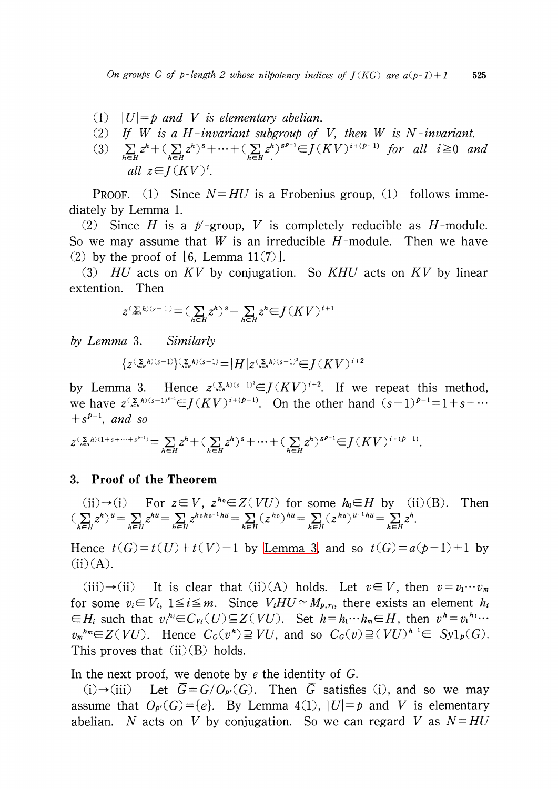- (1)  $|U|=p$  and V is elementary abelian.
- (2) If W is a H-invariant subgroup of V, then W is N-invariant.
- (3)  $\sum_{h\in H}z^{h}+(\sum_{h\in H}z^{h})^{s}+\cdots+(\sum_{h\in H}z^{h})^{s^{p- 1}}\in J(KV)^{i+ (p-1)}$  for all  $i\geq 0$  and all  $z \in I(KV)^{i}$ .

PROOF. (1) Since  $N=HU$  is a Frobenius group, (1) follows immediately by Lemma 1.

(2) Since H is a  $p'$ -group, V is completely reducible as H-module. So we may assume that W is an irreducible  $H$ -module. Then we have (2) by the proof of [6, Lemma 11(7)].

(3)  $HU$  acts on KV by conjugation. So KHU acts on KV by linear extention. Then

$$
z^{(\sum\limits_{\scriptscriptstyle h\in H}h)(s-1)}{=}(\sum\limits_{\scriptscriptstyle h\in H}z^h)^s-\sum\limits_{\scriptscriptstyle h\in H}z^h{\in}J\left(KV\right)^{i+1}
$$

by Lemma 3. Similarly

$$
\{z^{(\sum\limits_{\scriptscriptstyle h\in H}h)(s-1)\}_{\scriptscriptstyle h\in H}^{(\sum\limits_{\scriptscriptstyle h}h)(s-1)}{=}\big|H\big|z^{(\sum\limits_{\scriptscriptstyle h\in H}h)(s-1)^2}{\in}J(KV)^{i+2}
$$

by Lemma 3. Hence  $z^{(\sum_{k\in H}h)(s-1)^{2}}\in J(KV)^{i+2}$ . If we repeat this method, we have  $z^{(\sum_{h\in H}h)(s-1)^{p-1}}\in J(KV)^{i+(p-1)}$ . On the other hand  $(s-1)^{p-1}=1+s+\cdots$  $+s^{p-1}$ , and so

$$
z^{(\sum_{h \in H} h)(1+s+\cdots+s^{p-1})} = \sum_{h \in H} z^h + (\sum_{h \in H} z^h)^s + \cdots + (\sum_{h \in H} z^h)^{s^{p-1}} \in J(KV)^{i+(p-1)}.
$$

## 3. Proof of the Theorem

(ii) 
$$
\rightarrow
$$
 (i) For  $z \in V$ ,  $z^{h_0} \in Z(VU)$  for some  $h_0 \in H$  by (ii)(B). Then  
\n
$$
(\sum_{h \in H} z^h)^u = \sum_{h \in H} z^{h_0} = \sum_{h \in H} z^{h_0 h_0 - 1} h u = \sum_{h \in H} (z^{h_0})^{h u} = \sum_{h \in H} (z^{h_0})^{u - 1} h u = \sum_{h \in H} z^h.
$$

Hence  $t(G) = t(U) + t(V) - 1$  by [Lemma](#page-1-0) 3, and so  $t(G) = a(p-1)+1$  by  $(ii)(A).$ 

(iii) $\rightarrow$ (ii) It is clear that (ii) (A) holds. Let  $v\in V$ , then  $v=v_{1}\cdots v_{m}$ for some  $v_{i} \in V_{i}$ ,  $1 \leq i \leq m$ . Since  $V_{i}HU \simeq M_{p,r_{i}}$ , there exists an element  $h_{i}$  $\in H_{i}$  such that  $v_{i}^{h_{i}}\in C_{Vi}(U)\subseteq Z(VU)$ . Set  $h=h_{1}\cdots h_{m}\in H$ , then  $v^{h}=v_{1}^{h_{1}}\cdots$  $v_{m}^{h} \in Z(VU)$ . Hence  $C_{G}(v^{h}) \supseteq VU$ , and so  $C_{G}(v)\supseteq (VU)^{h^{-1}}\in Sy1_{p}(G)$ . This proves that  $(ii)(B)$  holds.

In the next proof, we denote by  $e$  the identity of  $G$ .

(i) $\rightarrow$ (iii) Let  $\overline{G}=G/O_{p}(G)$ . Then  $\overline{G}$  satisfies (i), and so we may assume that  $O_{p}(G) = \{e\}$ . By Lemma 4(1),  $|U| = p$  and V is elementary abelian. N acts on V by conjugation. So we can regard V as  $N=HU$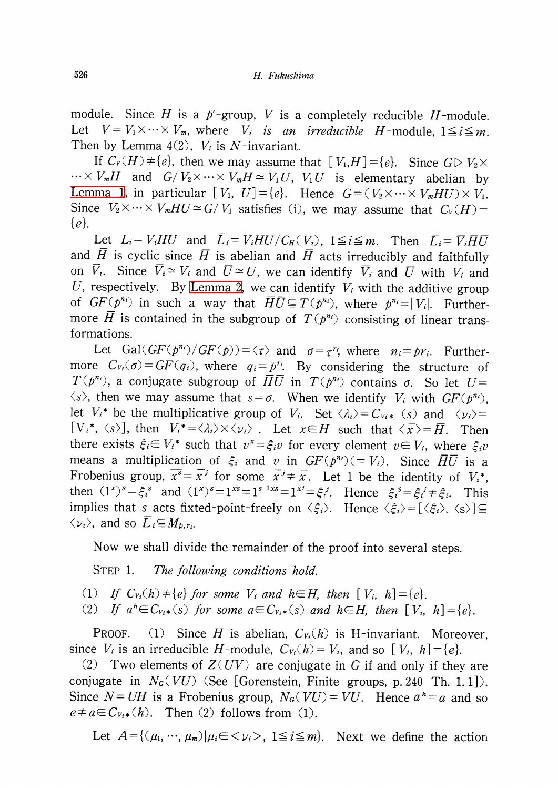module. Since H is a  $p^{\prime}$ -group, V is a completely reducible H-module. Let  $V = V_1 \times \cdots \times V_m$ , where  $V_{i}$  is an irreducible H-module,  $1 \leq i \leq m$ . Then by Lemma  $4(2)$ ,  $V_{i}$  is N-invariant.

If  $C_{V}(H)\neq\{e\}$ , then we may assume that  $[V_{1},H]=\{e\}$ . Since  $G\triangleright V_{2}\times$  $\cdots\times V_{m}H$  and  $G/V_{2}\times\cdots\times V_{m}H\simeq V_{1}U,$   $V_{1}U$  is elementary abelian by [Lemma](#page-1-1) 1, in particular  $[V_{1}, U]=\{e\}$ . Hence  $G=(V_{2}\times\cdots\times V_{m}HU)\times V_{1}$ . Since  $V_{2}\times\cdots\times V_{m}HU\simeq G/V_{1}$  satisfies (i), we may assume that  $C_{V}(H)=$ \{e\} .

Let  $L_{i}=V_{i}HU$  and  $L_{i}=V_{i}HU/C_{H}( V_{i})$ ,  $1\leq i\leq m$ . Then  $\overline{L}_{i}=\overline{V}_{i}\overline{H}\overline{U}$ and  $\overline{H}$  is cyclic since  $\overline{H}$  is abelian and  $\overline{H}$  acts irreducibly and faithfully on  $\overline{V}_{i}$ . Since  $\overline{V}_{i}\simeq V_{i}$  and  $\overline{U}\simeq U$ , we can identify  $\overline{V}_{i}$  and  $\overline{U}$  with  $V_{i}$  and U, respectively. By [Lemma](#page-1-2) 2, we can identify  $V_{i}$  with the additive group of  $GF(p^{n_{i}})$  in such a way that  $\overline{H}\overline{U} \subseteq T(p^{n_{i}})$ , where  $p^{n_{i}}=|V_{i}|$ . Furthermore  $\overline{H}$  is contained in the subgroup of  $T(p^{n_{i}})$  consisting of linear transformations.

Let  $Gal(GF(p^{n_{i}})/GF(p)) = \langle\tau\rangle$  and  $\sigma=\tau^{r_{i}}$ , where  $n_{i}=pr_{i}$ . Furthermore  $C_{V_{i}}(\sigma) = GF(q_{i})$ , where  $q_{i} = p^{r_{i}}$ . By considering the structure of  $T(p^{n_{i}})$ , a conjugate subgroup of  $\bar{H}\bar{U}$  in  $T(p^{n_{i}})$  contains  $\sigma$ . So let  $U=$  $\langle s\rangle$ , then we may assume that  $s=\sigma$ . When we identify  $V_{i}$  with  $GF(p^{n_{i}})$ , let  $V_{i}^{*}$  be the multiplicative group of  $V_{i}$ . Set  $\langle\lambda_{i}\rangle=C_{Vi*}(s)$  and  $\langle\nu_{i}\rangle=$  $[V_{i}^{*}, \langle s\rangle]$ , then  $V_{i}^{*}=\langle \lambda_{i}\rangle\times\langle \nu_{i}\rangle$ . Let  $x\in H$  such that  $\langle \overline{x}\rangle=\overline{H}$ . Then there exists  $\xi_{i}\in V_{i}^{*}$  such that  $v^{x}=\xi_{i}v$  for every element  $v\in V_{i}$ , where  $\xi_{i}v$ means a multiplication of  $\xi_{i}$  and v in  $GF(p^{n_{i}})(=V_{i})$ . Since  $\overline{HU}$  is a Frobenius group,  $\overline{x^{s}}=\overline{x}^{j}$  for some  $\overline{x}^{j}\neq\overline{x}$ . Let 1 be the identity of  $V_{i}^{*}$ , then  $(1^{x})^{s} = \xi_{i}^{s}$  and  $(1^{x})^{s}=1^{xs}=1^{s^{-1}xs}=1^{x^{j}}=\xi_{i}^{j}$ . Hence  $\xi_{i}^{s}=\xi_{i}^{j}\neq\xi_{i}$ . This implies that s acts fixted-point-freely on  $\langle\xi_{i}\rangle$ . Hence  $\langle\xi_{i}\rangle=[\langle\xi_{i}\rangle, \langle s\rangle]\subseteq$  $\langle\nu_{i}\rangle,$  and so  $\overline{L}_{i}\hspace{-0.5mm}\subseteq\hspace{-0.5mm} M_{p,r_{i}}.$ 

Now we shall divide the remainder of the proof into several steps.

STEP 1. The following conditions hold.

(1) If  $C_{V_{i}}(h) \neq \{e\}$  for some  $V_{i}$  and  $h \in H$ , then  $[V_{i}, h] = \{e\}.$ 

(2) If  $a^{h}\in C_{V_{i}*}(s)$  for some  $a\in C_{V_{i}*}(s)$  and  $h\in H$ , then  $[V_{i}, h]=\{e\}$ .

PROOF. (1) Since H is abelian,  $C_{V_{i}}(h)$  is H-invariant. Moreover, since  $V_{i}$  is an irreducible H-module,  $C_{V_{i}}(h) = V_{i}$ , and so [  $V_{i}$ ,  $h$ ] =  $\{e\}$ .

(2) Two elements of  $Z(UV)$  are conjugate in G if and only if they are conjugate in  $N_{G}( VU)$  (See [Gorenstein, Finite groups, p. 240 Th. 1. 1]). Since  $N = UH$  is a Frobenius group,  $N_{G}( VU) = VU$ . Hence  $a^h = a$  and so  $e \neq a \in C_{V_{t}*}(h)$ . Then (2) follows from (1).

Let  $A$  = {( $\mu_{1}$ , …,  $\mu_{m}$ )| $\mu_{i}$   $\in$   $<$   $\nu_{i}$   $>$  , 1 $\leq$   $i$   $\leq$   $m\}$ . Next we define the action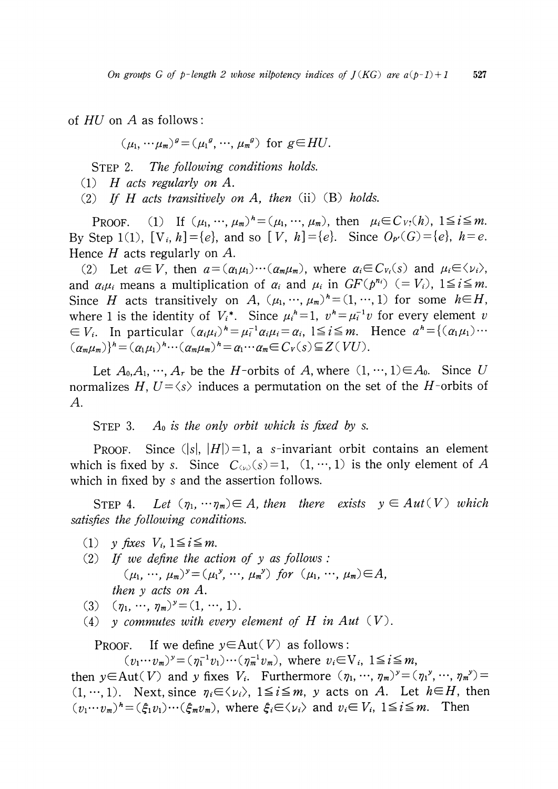of HU on A as follows:

 $(\mu_{1}, \cdots \mu_{m})^{g}=(\mu_{1}^{g}, \cdots, \mu_{m}^{g})$  for  $g\in HU$ .

STEP 2. The following conditions holds.

 $(1)$  H acts regularly on A.

(2) If H acts transitively on A, then  $(ii)$  (B) holds.

PROOF. (1) If  $(\mu_{1}, \dots, \mu_{m})^{h}=(\mu_{1}, \dots, \mu_{m})$ , then  $\mu_{i}\in C_{V}(h)$ ,  $1\leq i\leq m$ . By Step 1(1),  $[V_i, h] = \{e\}$ , and so  $[V, h] = \{e\}$ . Since  $O_{p}(G) = \{e\}$ ,  $h = e$ . Hence  $H$  acts regularly on  $A$ .

(2) Let  $a\in V$ , then  $a=(\alpha_{1}\mu_{1})\cdots (\alpha_{m}\mu_{m})$ , where  $\alpha_{i}\in C_{V_{i}}(s)$  and  $\mu_{i}\in\langle\nu_{i}\rangle$ , and  $\alpha_{i}\mu_{i}$  means a multiplication of  $\alpha_{i}$  and  $\mu_{i}$  in  $GF(p^{n_{i}})\ (=V_{i})$ ,  $1\leq i\leq m$ . Since H acts transitively on A,  $(\mu_{1}$ ,  $\dots$ ,  $\mu_{m})^{h}=(1, \dots, 1)$  for some  $h\in H$ , where 1 is the identity of  $V_{i}^{*}$ . Since  $\mu_{i}^{h}=1$ ,  $v^{h}=\mu_{i}^{-1}v$  for every element v  $\in V_{i}$ . In particular  $(\alpha_{i}\mu_{i})^{h}=\mu_{i}^{-1}\alpha_{i}\mu_{i}=\alpha_{i}$ ,  $1\leq i\leq m$ . Hence  $a^{h}=\{(\alpha_{1}\mu_{1})\cdots$  $(\alpha_{m}\mu_{m})\}^{h}=(\alpha_{1}\mu_{1})^{h}\cdots(\alpha_{m}\mu_{m})^{h}=\alpha_{1}\cdots\alpha_{m}\in C_{V}(s)\subseteq Z ( VU).$ 

Let  $A_{0},A_{1}, \cdots, A_{r}$  be the H-orbits of A, where  $(1, \cdots, 1)\in A_{0}$ . Since U normalizes H,  $U=\langle s\rangle$  induces a permutation on the set of the H-orbits of A.

STEP 3. A<sub>0</sub> is the only orbit which is fixed by s.

PROOF. Since  $(|s|, |H|) = 1$ , a s-invariant orbit contains an element which is fixed by s. Since  $C_{\langle\nu_{\ell}\rangle}(s)=1$ ,  $(1, \dots, 1)$  is the only element of A which in fixed by s and the assertion follows.

STEP 4. Let  $(\eta_{1}$ ,  $\cdots\eta_{m})\in A$ , then there exists  $y\in Aut(V)$  which satisfies the following conditions.

- (1) y fixes  $V_i$ ,  $1 \leq i \leq m$ .
- (2) If we define the action of  $y$  as follows:  $(\mu_{1} ,\cdots, \mu_{m})^{y}=(\mu_{1}^{\ \ y},\cdots, \mu_{m}^{\ \ y})$  for  $(\mu_{1} ,\cdots, \mu_{m})\in A$ , then y acts on A.
- (3)  $(\eta_{1}, \cdots, \eta_{m})^{y}=(1, \cdots, 1).$
- (4) y commutes with every element of H in Aut  $(V)$ .

PROOF. If we define  $y \in Aut(V)$  as follows:

 $(v_{1}\cdots v_{m})^{y} = (\eta_{1}^{-1}v_{1})\cdots (\eta_{m}^{-1}v_{m}),$  where  $v_{i}\in V_{i}, 1 \leq i \leq m$ ,

then  $y \in Aut(V)$  and y fixes  $V_{i}$ . Furthermore  $(\eta_{1},\dots, \eta_{m})^{y}=(\eta_{1}^{y},\dots, \eta_{m}^{y})=$  $(1, \dots, 1)$ . Next, since  $\eta_{i} \in \langle\nu_{i}\rangle$ ,  $1 \leq i \leq m$ , y acts on A. Let  $h \in H$ , then  $(v_{1}\cdots v_{m})^{h} = (\xi_{1}v_{1})\cdots(\xi_{m}v_{m})$ , where  $\xi_{i}\in\langle\nu_{i}\rangle$  and  $v_{i}\in V_{i}$ ,  $1\leq i\leq m$ . Then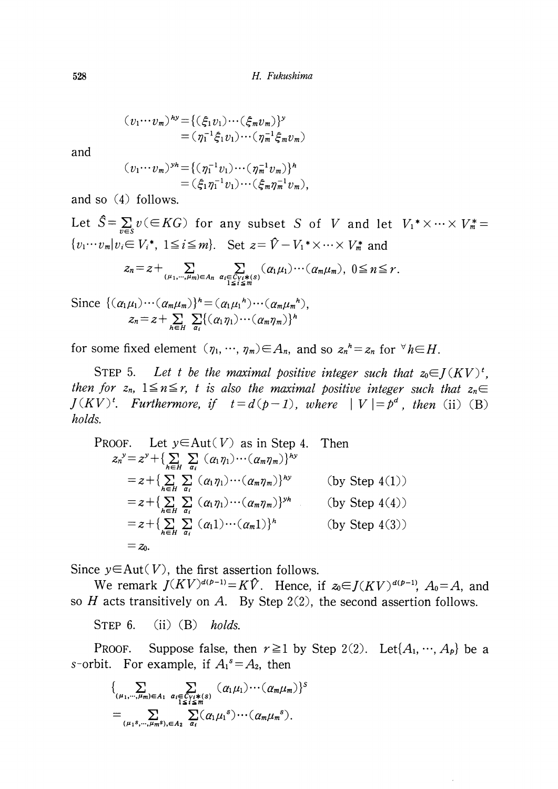$(v_{1}\cdots v_{m})^{hy}=\{(\xi_{1}v_{1})\cdots(\xi_{m}v_{m})\}^{y}$  $=(\eta_{1}^{-1}\xi_{1}v_{1})\cdots(\eta_{m}^{-1}\xi_{m}v_{m})$ 

and

$$
(v_1 \cdots v_m)^{y_h} = \{ (\eta_1^{-1} v_1) \cdots (\eta_m^{-1} v_m) \}^h
$$
  
=  $(\xi_1 \eta_1^{-1} v_1) \cdots (\xi_m \eta_m^{-1} v_m),$ 

and so (4) follows.

Let  $\hat{S}=\sum_{v\in S}v(\in KG)$  for any subset S of V and let  $V_{1}^{*}\times\cdots\times V_{m}^{*}=$  $\{v_{1}\cdots v_{m}|v_{i}\in V_{i}^{*},\; 1\leq i\leq m\}$ . Set  $z=\hat{V}-V_{1}^{*}\times\cdots\times V_{m}^{*}$  and

$$
z_n = z + \sum_{(\mu_1,\cdots,\mu_m)\in A_n} \sum_{\substack{\alpha_i \in C_V:*(s) \\ 1 \le i \le m}} (\alpha_1 \mu_1) \cdots (\alpha_m \mu_m), \ 0 \le n \le r.
$$

Since  $\{(\alpha_{1}\mu_{1})\cdots(\alpha_{m}\mu_{m})\}^{\prime n}=(\alpha_{1}\mu_{1}^{h})\cdots(\alpha_{m}\mu_{m}^{h}),$  $z_{n}=z+ \sum_{h\in H}\sum_{a_{i}}\{(\alpha_{1}\eta_{1})\cdots(\alpha_{m}\eta_{m})\}^{h}$ 

for some fixed element  $(\eta_{1}, \dots, \eta_{m})\!\in\! A_{n}$ , and so  $z_{n}^{\;n}=z_{n}$  for  $\forall h\!\in\! H.$ 

STEP 5. Let t be the maximal positive integer such that  $z_{0} \in J(KV)^{t}$ , then for  $z_{n}$ ,  $1\leq n\leq r$ , t is also the maximal positive integer such that  $z_{n}\in$  $J(KV)^{t}$ . Furthermore, if  $t=d(p-1)$ , where  $|V|=p^{d}$ , then (ii) (B) holds.

PROOF. Let 
$$
y \in Aut(V)
$$
 as in Step 4. Then  
\n
$$
z_n^y = z^y + \left\{ \sum_{h \in H} \sum_{\alpha_i} (a_1 \eta_1) \cdots (a_m \eta_m) \right\}^{hy}
$$
\n
$$
= z + \left\{ \sum_{h \in H} \sum_{\alpha_i} (a_1 \eta_1) \cdots (a_m \eta_m) \right\}^{hy}
$$
 (by Step 4(1))  
\n
$$
= z + \left\{ \sum_{h \in H} \sum_{\alpha_i} (a_1 \eta_1) \cdots (a_m \eta_m) \right\}^{yh}
$$
 (by Step 4(4))  
\n
$$
= z + \left\{ \sum_{h \in H} \sum_{\alpha_i} (a_1 1) \cdots (a_m 1) \right\}^h
$$
 (by Step 4(3))  
\n
$$
= z_0.
$$

Since  $y \in Aut(V)$ , the first assertion follows.

We remark  $J(KV)^{d(p-1)}=K\hat{V}$ . Hence, if  $z_{0} \in J(KV)^{d(p-1)}$ ,  $A_{0}=A$ , and so  $H$  acts transitively on  $A$ . By Step 2(2), the second assertion follows.

STEP 6. (ii)  $(B)$  holds.

PROOF. Suppose false, then  $r \geq 1$  by Step 2(2). Let $\{A_{1}, \dots, A_{p}\}$  be a s-orbit. For example, if  $A_{1}^{s}=A_{2}$ , then

$$
\{\sum_{(\mu_1,\cdots,\mu_m)\in A_1}\sum_{\substack{\alpha_i\in C_{Yi}*(s)\\1\leq i\leq m}}(\alpha_1\mu_1)\cdots(\alpha_m\mu_m)\}^s
$$
  
= 
$$
\sum_{(\mu_1s,\cdots,\mu_ms),\in A_2}\sum_{\alpha_i}(\alpha_1\mu_1^s)\cdots(\alpha_m\mu_m^s).
$$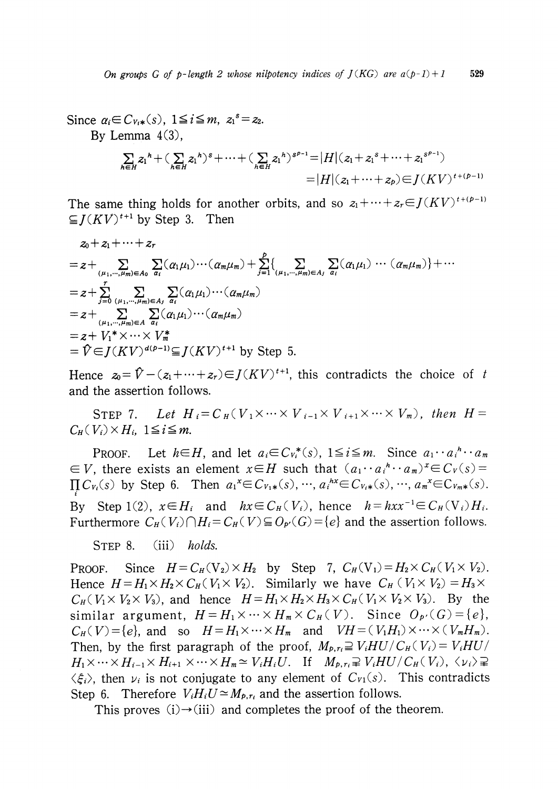Since  $\alpha_{i}\in C_{V\cdot i*}(s)$ ,  $1\leq i\leq m$ ,  $z_{1}^{s}=z_{2}$ . By Lemma  $4(3)$ ,

$$
\sum_{h \in H} z_1^h + (\sum_{h \in H} z_1^h)^s + \dots + (\sum_{h \in H} z_1^h)^{s^{p-1}} = |H|(z_1 + z_1^s + \dots + z_1^{s^{p-1}})
$$
  
= |H|(z\_1 + \dots + z\_p) \in J(KV)^{t + (p-1)}

The same thing holds for another orbits, and so  $z_{1}+\cdots+z_{r}\in J(KV)^{t+(p-1)}$  $\subseteq$   $I(KV)^{t+1}$  by Step 3. Then

$$
z_0 + z_1 + \cdots + z_r
$$
  
\n
$$
= z + \sum_{(\mu_1, \dots, \mu_m) \in A_0} \sum_{a_i} (a_1 \mu_1) \cdots (a_m \mu_m) + \sum_{j=1}^p \{ \sum_{(\mu_1, \dots, \mu_m) \in A_j} \sum_{a_i} (a_1 \mu_1) \cdots (a_m \mu_m) \} + \cdots
$$
  
\n
$$
= z + \sum_{j=0}^r \sum_{(\mu_1, \dots, \mu_m) \in A_j} \sum_{a_i} (a_1 \mu_1) \cdots (a_m \mu_m)
$$
  
\n
$$
= z + \sum_{(\mu_1, \dots, \mu_m) \in A} \sum_{a_i} (a_1 \mu_1) \cdots (a_m \mu_m)
$$
  
\n
$$
= z + V_1^* \times \cdots \times V_m^*
$$
  
\n
$$
= \hat{V} \in J(KV)^{d(p-1)} \subseteq J(KV)^{t+1}
$$
 by Step 5.

Hence  $z_{0}=\hat{V}-(z_{1}+\cdots+z_{r})\in J(KV)^{t+1}$ , this contradicts the choice of t and the assertion follows.

STEP 7. Let  $H_{i}=C_{H} ( V_{1}\times\cdots\times V_{i-1}\times V_{i+1}\times\cdots\times V_{m})$ , then  $H=$  $C_{H} ( V_{i}) \times H_{i}$ ,  $1 \leq i \leq m$ .

PROOF. Let  $h\in H$ , and let  $a_{i}\in C_{V_{i}}^{*}(s)$ ,  $1\leq i\leq m$ . Since  $a_{1}\cdots a_{i}^{h}\cdots a_{m}$  $\epsilon \in V$ , there exists an element  $x\in H$  such that  $(a_{1}\cdots a_{i}{}^{h}\cdots a_{m})^{x}\in C_{V}(s)=0$  $\Pi C_{V_{i}}(s)$  by Step 6. Then  $a_{1}^{x} \in C_{V_{1}*}(s), \cdots, a_{i}^{hx} \in C_{V_{i}*}(s), \cdots, a_{m}^{x} \in C_{V_{m}*}(s)$ . By Step 1(2),  $x\in H_{i}$  and  $hx\in C_{H}( V_{i})$ , hence  $h=hxx^{-1}\in C_{H}(V_{i})H_{i}$ . Furthermore  $C_{H}( V_{i})\bigcap H_{i}=C_{H}( V)\subseteq O_{p'}(G)=\{e\}$  and the assertion follows.

STEP 8. (iii) holds.

PROOF. Since  $H = C_{H}(V_{2})\times H_{2}$  by Step 7,  $C_{H}( V_{1})=H_{2}\times C_{H}( V_{1}\times V_{2})$ . Hence  $H = H_{1}\times H_{2}\times C_{H}(\ V_{1}\times V_{2})$ . Similarly we have  $C_{H} ( V_{1}\times V_{2})=H_{3}\times$  $C_{H} ( V_{1}\times V_{2}\times V_{3})$ , and hence  $H=H_{1}\times H_{2}\times H_{3}\times C_{H} ( V_{1}\times V_{2}\times V_{3})$ . By the similar argument,  $H=H_{1}\times\cdots\times H_{m}\times C_{H} ( V)$ . Since  $O_{p}( G)=\{ e\}$ ,  $C_{H}( V)=\{e\}$ , and so  $H=H_{1}\times\cdots\times H_{m}$  and  $VH=(V_{1}H_{1})\times\cdots\times(V_{m}H_{m})$ . Then, by the first paragraph of the proof,  $M_{p,r_{i}}\supseteq V_{i}HU/C_{H} ( V_{i})=V_{i}HU/$  $H_{1}\times\cdots\times H_{i-1}\times H_{i+1}\times\cdots\times H_{m}\simeq V_{i}H_{i}U.$  If  $M_{p,r_{i}}\supsetneq V_{i}HU/C_{H} ( V_{i}), \langle \nu_{i}\rangle\supsetneq$  $\langle \xi_{i}\rangle$ , then  $\nu_{i}$  is not conjugate to any element of  $C_{V1}(s)$ . This contradicts Step 6. Therefore  $V_{i}H_{i}U\approx M_{p,r_{i}}$  and the assertion follows.

This proves  $(i) \rightarrow (iii)$  and completes the proof of the theorem.